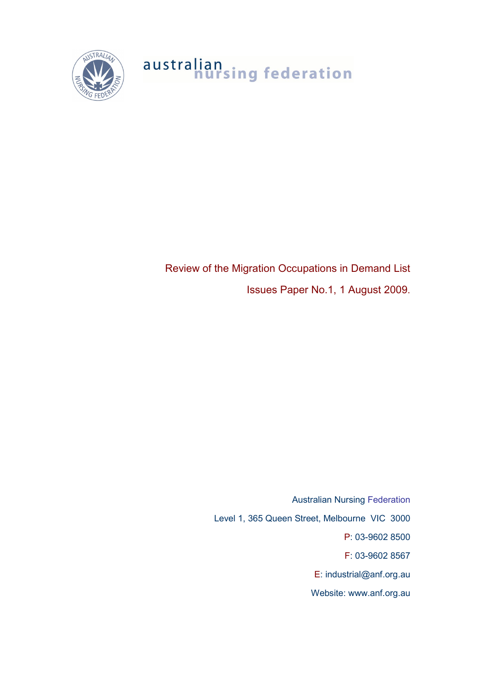

# australian<br>nursing federation

Review of the Migration Occupations in Demand List Issues Paper No.1, 1 August 2009.

> Australian Nursing Federation Level 1, 365 Queen Street, Melbourne VIC 3000 P: 03-9602 8500 F: 03-9602 8567 E: industrial@anf.org.au Website: www.anf.org.au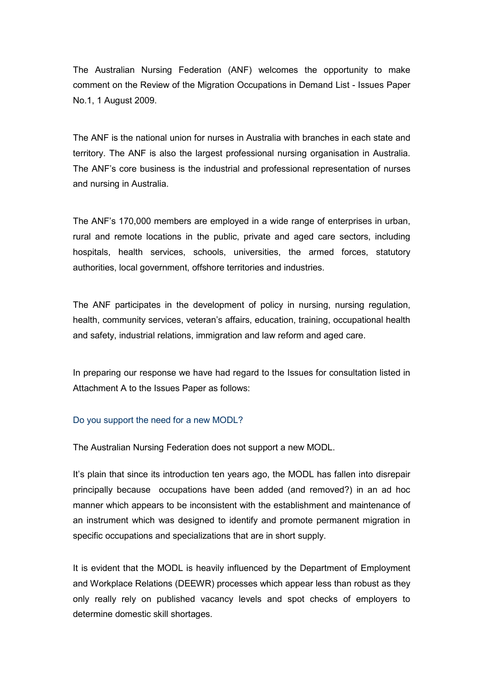The Australian Nursing Federation (ANF) welcomes the opportunity to make comment on the Review of the Migration Occupations in Demand List - Issues Paper No.1, 1 August 2009.

The ANF is the national union for nurses in Australia with branches in each state and territory. The ANF is also the largest professional nursing organisation in Australia. The ANF's core business is the industrial and professional representation of nurses and nursing in Australia.

The ANF's 170,000 members are employed in a wide range of enterprises in urban, rural and remote locations in the public, private and aged care sectors, including hospitals, health services, schools, universities, the armed forces, statutory authorities, local government, offshore territories and industries.

The ANF participates in the development of policy in nursing, nursing regulation, health, community services, veteran's affairs, education, training, occupational health and safety, industrial relations, immigration and law reform and aged care.

In preparing our response we have had regard to the Issues for consultation listed in Attachment A to the Issues Paper as follows:

## Do you support the need for a new MODL?

The Australian Nursing Federation does not support a new MODL.

It's plain that since its introduction ten years ago, the MODL has fallen into disrepair principally because occupations have been added (and removed?) in an ad hoc manner which appears to be inconsistent with the establishment and maintenance of an instrument which was designed to identify and promote permanent migration in specific occupations and specializations that are in short supply.

It is evident that the MODL is heavily influenced by the Department of Employment and Workplace Relations (DEEWR) processes which appear less than robust as they only really rely on published vacancy levels and spot checks of employers to determine domestic skill shortages.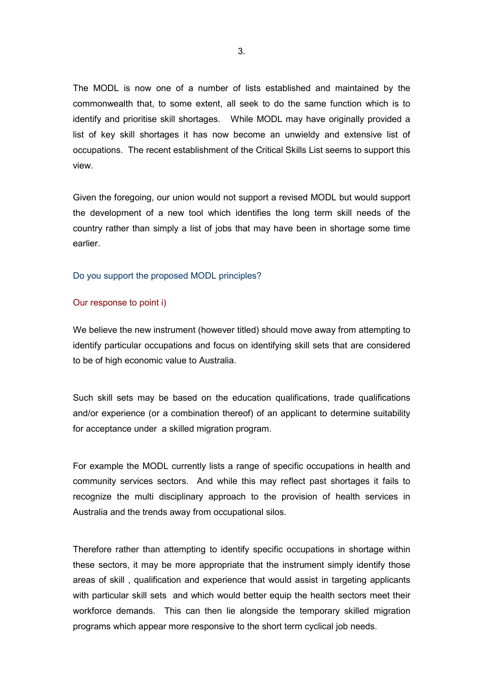The MODL is now one of a number of lists established and maintained by the commonwealth that, to some extent, all seek to do the same function which is to identify and prioritise skill shortages. While MODL may have originally provided a list of key skill shortages it has now become an unwieldy and extensive list of occupations. The recent establishment of the Critical Skills List seems to support this view.

Given the foregoing, our union would not support a revised MODL but would support the development of a new tool which identifies the long term skill needs of the country rather than simply a list of jobs that may have been in shortage some time earlier.

## Do you support the proposed MODL principles?

#### Our response to point i)

We believe the new instrument (however titled) should move away from attempting to identify particular occupations and focus on identifying skill sets that are considered to be of high economic value to Australia.

Such skill sets may be based on the education qualifications, trade qualifications and/or experience (or a combination thereof) of an applicant to determine suitability for acceptance under a skilled migration program.

For example the MODL currently lists a range of specific occupations in health and community services sectors. And while this may reflect past shortages it fails to recognize the multi disciplinary approach to the provision of health services in Australia and the trends away from occupational silos.

Therefore rather than attempting to identify specific occupations in shortage within these sectors, it may be more appropriate that the instrument simply identify those areas of skill , qualification and experience that would assist in targeting applicants with particular skill sets and which would better equip the health sectors meet their workforce demands. This can then lie alongside the temporary skilled migration programs which appear more responsive to the short term cyclical job needs.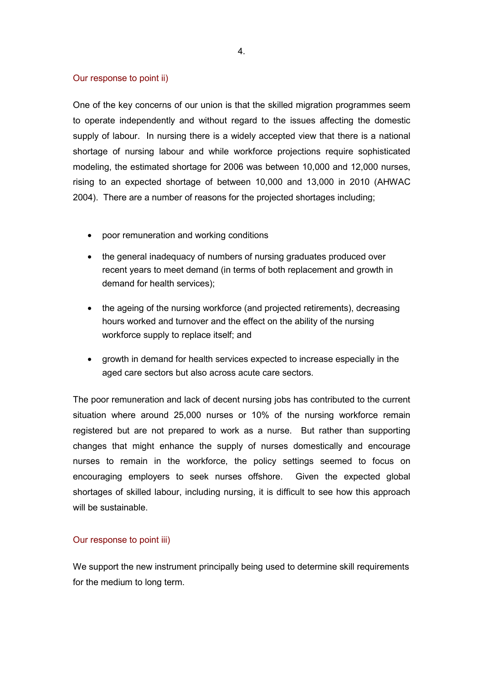## Our response to point ii)

One of the key concerns of our union is that the skilled migration programmes seem to operate independently and without regard to the issues affecting the domestic supply of labour. In nursing there is a widely accepted view that there is a national shortage of nursing labour and while workforce projections require sophisticated modeling, the estimated shortage for 2006 was between 10,000 and 12,000 nurses, rising to an expected shortage of between 10,000 and 13,000 in 2010 (AHWAC 2004). There are a number of reasons for the projected shortages including;

- poor remuneration and working conditions
- the general inadequacy of numbers of nursing graduates produced over recent years to meet demand (in terms of both replacement and growth in demand for health services);
- the ageing of the nursing workforce (and projected retirements), decreasing hours worked and turnover and the effect on the ability of the nursing workforce supply to replace itself; and
- growth in demand for health services expected to increase especially in the aged care sectors but also across acute care sectors.

The poor remuneration and lack of decent nursing jobs has contributed to the current situation where around 25,000 nurses or 10% of the nursing workforce remain registered but are not prepared to work as a nurse. But rather than supporting changes that might enhance the supply of nurses domestically and encourage nurses to remain in the workforce, the policy settings seemed to focus on encouraging employers to seek nurses offshore. Given the expected global shortages of skilled labour, including nursing, it is difficult to see how this approach will be sustainable.

# Our response to point iii)

We support the new instrument principally being used to determine skill requirements for the medium to long term.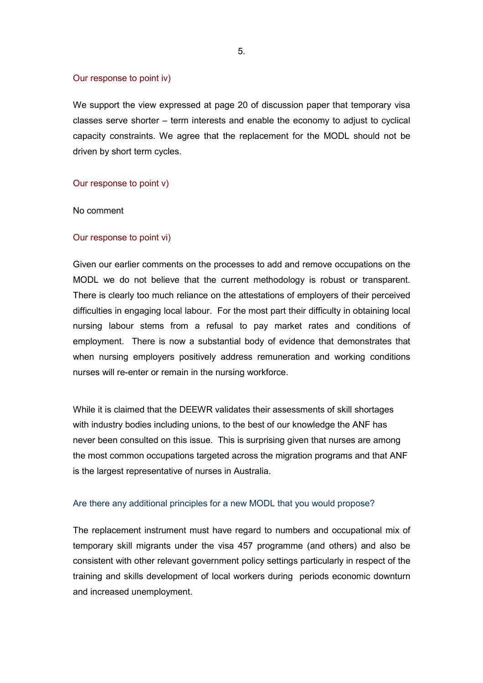## Our response to point iv)

We support the view expressed at page 20 of discussion paper that temporary visa classes serve shorter – term interests and enable the economy to adjust to cyclical capacity constraints. We agree that the replacement for the MODL should not be driven by short term cycles.

## Our response to point v)

No comment

## Our response to point vi)

Given our earlier comments on the processes to add and remove occupations on the MODL we do not believe that the current methodology is robust or transparent. There is clearly too much reliance on the attestations of employers of their perceived difficulties in engaging local labour. For the most part their difficulty in obtaining local nursing labour stems from a refusal to pay market rates and conditions of employment. There is now a substantial body of evidence that demonstrates that when nursing employers positively address remuneration and working conditions nurses will re-enter or remain in the nursing workforce.

While it is claimed that the DEEWR validates their assessments of skill shortages with industry bodies including unions, to the best of our knowledge the ANF has never been consulted on this issue. This is surprising given that nurses are among the most common occupations targeted across the migration programs and that ANF is the largest representative of nurses in Australia.

## Are there any additional principles for a new MODL that you would propose?

The replacement instrument must have regard to numbers and occupational mix of temporary skill migrants under the visa 457 programme (and others) and also be consistent with other relevant government policy settings particularly in respect of the training and skills development of local workers during periods economic downturn and increased unemployment.